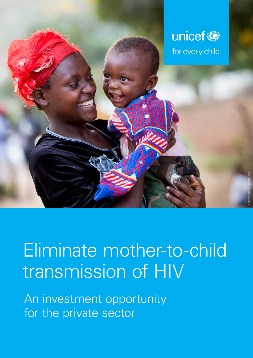

# Eliminate mother-to-child transmission of HIV

An investment opportunity for the private sector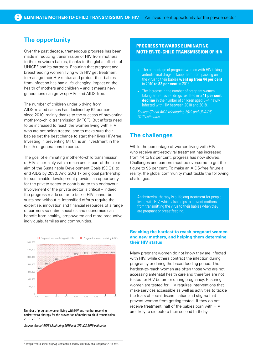## **The opportunity**

Over the past decade, tremendous progress has been made in reducing transmission of HIV from mothers to their newborn babies, thanks to the global efforts of UNICEF and its partners. Ensuring that pregnant and breastfeeding women living with HIV get treatment to manage their HIV status and protect their babies from infection has had a life-changing impact on the health of mothers and children – and it means new generations can grow up HIV- and AIDS-free.

The number of children under 5 dying from AIDS-related causes has declined by 52 per cent since 2010, mainly thanks to the success of preventing mother-to-child transmission (MTCT). But efforts need to be increased to reach the women living with HIV who are not being treated, and to make sure their babies get the best chance to start their lives HIV-free. Investing in preventing MTCT is an investment in the health of generations to come.

The goal of eliminating mother-to-child transmission of HIV is certainly within reach and is part of the clear aim of the Sustainable Development Goals (SDGs) to end AIDS by 2030. And SDG 17 on global partnership for sustainable development provides an opportunity for the private sector to contribute to this endeavour. Involvement of the private sector is critical – indeed, the progress made so far to tackle HIV cannot be sustained without it. Intensified efforts require the expertise, innovation and financial resources of a range of partners so entire societies and economies can benefit from healthy, empowered and more productive individuals, families and communities.



Number of pregnant women living with HIV and number receiving antiretroviral therapy for the prevention of mother-to-child transmission, 2010–2018.1

*Source: Global AIDS Monitoring 2019 and UNAIDS 2019 estimates* 

## **PROGRESS TOWARDS ELIMINATING MOTHER-TO-CHILD TRANSMISSION OF HIV**

- The percentage of pregnant women with HIV taking antiretroviral drugs to keep them from passing on the virus to their babies **went up from 44 per cent** in 2010 **to 82 per cent** in 2018.
- The increase in the number of pregnant women taking antiretroviral drugs resulted in a **41 per cent decline** in the number of children aged 0–4 newly infected with HIV between 2010 and 2018.

*Source: Global AIDS Monitoring 2019 and UNAIDS 2019 estimates* 

# **The challenges**

While the percentage of women living with HIV who receive anti-retroviral treatment has increased from 44 to 82 per cent, progress has now slowed. Challenges and barriers must be overcome to get the figure to 95 per cent. To make an AIDS-free future a reality, the global community must tackle the following challenges.

Antiretroviral therapy is a lifelong treatment for people living with HIV, which also helps to prevent mothers from transmitting the virus to their babies when they are pregnant or breastfeeding.

## **Reaching the hardest to reach pregnant women and new mothers, and helping them determine their HIV status**

Many pregnant women do not know they are infected with HIV, while others contract the infection during pregnancy or during the breastfeeding period. The hardest-to-reach women are often those who are not accessing antenatal health care and therefore are not tested for HIV before or during pregnancy. Ensuring women are tested for HIV requires interventions that make services accessible as well as activities to tackle the fears of social discrimination and stigma that prevent women from getting tested. If they do not receive treatment, half of the babies born with HIV are likely to die before their second birthday.

<sup>1</sup> <<https://data.unicef.org/wp-content/uploads/2018/11/Global-snapshot-2018.pdf>>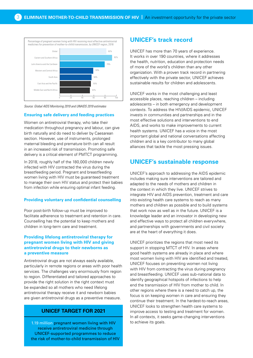

*Source: Global AIDS Monitoring 2019 and UNAIDS 2019 estimates* 

## **Ensuring safe delivery and feeding practices**

Women on antiretroviral therapy, who take their medication throughout pregnancy and labour, can give birth naturally and do need to deliver by Caesarean section. However, use of instruments, prolonged maternal bleeding and premature birth can all result in an increased risk of transmission. Promoting safe delivery is a critical element of PMTCT programming.

In 2018, roughly half of the 180,000 children newly infected with HIV contracted the virus during the breastfeeding period. Pregnant and breastfeeding women living with HIV must be guaranteed treatment to manage their own HIV status and protect their babies from infection while ensuring optimal infant feeding.

#### **Providing voluntary and confidential counselling**

Poor post-birth follow-up must be improved to facilitate adherence to treatment and retention in care. Counselling has the potential to keep mothers and children in long-term care and treatment.

## **Providing lifelong antiretroviral therapy for pregnant women living with HIV and giving antiretroviral drugs to their newborns as a preventive measure**

Antiretroviral drugs are not always easily available, particularly in remote regions or areas with poor health services. The challenges vary enormously from region to region. Differentiated and tailored approaches to provide the right solution in the right context must be expanded so all mothers who need lifelong antiretroviral therapy receive it and newborn babies are given antiretroviral drugs as a preventive measure.

## **UNICEF TARGET FOR 2021**

1.19 million pregnant women living with HIV receive antiretroviral medicine through UNICEF-supported programmes to reduce the risk of mother-to-child transmission of HIV

# **UNICEF's track record**

UNICEF has more than 70 years of experience. It works in over 190 countries, where it addresses the health, nutrition, education and protection needs of more of the world's children than any other organization. With a proven track record in partnering effectively with the private sector, UNICEF achieves sustainable results for children and adolescents.

UNICEF works in the most challenging and least accessible places, reaching children – including adolescents – in both emergency and development contexts. To address the HIV/AIDS epidemic, UNICEF invests in communities and partnerships and in the most effective solutions and interventions to end AIDS, and works to make improvements to current health systems. UNICEF has a voice in the most important global and national conversations affecting children and is a key contributor to many global alliances that tackle the most pressing issues.

# **UNICEF's sustainable response**

UNICEF's approach to addressing the AIDS epidemic includes making sure interventions are tailored and adapted to the needs of mothers and children in the context in which they live. UNICEF strives to integrate HIV and AIDS prevention, treatment and care into existing health care systems to reach as many mothers and children as possible and to build systems that work now as well as in the future. UNICEF is a knowledge leader and an innovator in developing new and effective ways to protect all children everywhere, and partnerships with governments and civil society are at the heart of everything it does.

UNICEF prioritizes the regions that most need its support in stopping MTCT of HIV. In areas where good health systems are already in place and where most women living with HIV are identified and treated, UNICEF focuses on preventing women not living with HIV from contracting the virus during pregnancy and breastfeeding. UNICEF uses sub-national data to identify geographical hotspots of infections to help end the transmission of HIV from mother to child. In other regions where there is a need to catch up, the focus is on keeping women in care and ensuring they continue their treatment. In the hardest-to-reach areas, UNICEF looks to strengthen health care systems to improve access to testing and treatment for women. In all contexts, it seeks game-changing interventions to achieve its goals.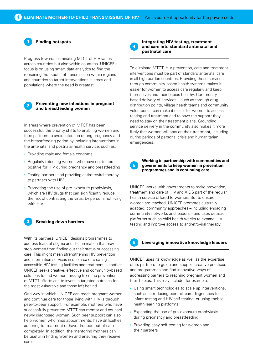

## **Finding hotspots**

Progress towards eliminating MTCT of HIV varies across countries but also within countries. UNICEF's focus is on using smart data analytics to find the remaining 'hot spots' of transmission within regions and countries to target interventions in areas and populations where the need is greatest.



### **Preventing new infections in pregnant and breastfeeding women**

In areas where prevention of MTCT has been successful, the priority shifts to enabling women and their partners to avoid infection during pregnancy and the breastfeeding period by including interventions in the antenatal and postnatal health service, such as:

- Providing male and female condoms
- Regularly retesting women who have not tested positive for HIV during pregnancy and breastfeeding
- Testing partners and providing antiretroviral therapy to partners with HIV
- Promoting the use of pre-exposure prophylaxis, which are HIV drugs that can significantly reduce the risk of contracting the virus, by persons not living with HIV

## **3 Breaking down barriers**

With its partners, UNICEF designs programmes to address fears of stigma and discrimination that may stop women from finding out their status or accessing care. This might mean strengthening HIV prevention and information services in one area or creating accessible HIV testing facilities and treatment in another. UNICEF seeks creative, effective and community-based solutions to find women missing from the prevention of MTCT efforts and to invest in targeted outreach for the most vulnerable and those left behind.

One way in which UNICEF can reach pregnant women and continue care for those living with HIV is through peer-to-peer support. For example, mothers who have successfully prevented MTCT can mentor and counsel newly diagnosed women. Such peer support can also help women who miss appointments, have difficulties adhering to treatment or have dropped out of care completely. In addition, the mentoring mothers can be useful in finding women and ensuring they receive care.

**4**

## **Integrating HIV testing, treatment and care into standard antenatal and postnatal care**

To eliminate MTCT, HIV prevention, care and treatment interventions must be part of standard antenatal care in all high burden countries. Providing these services through community-based health systems makes it easier for women to access care regularly and keep themselves and their babies healthy. Communitybased delivery of services – such as through drug distribution points, village health teams and community volunteers – can make it easier for women to access testing and treatment and to have the support they need to stay on their treatment plans. Grounding service delivery in the community also makes it more likely that women will stay on their treatment, including during periods of personal crisis and humanitarian emergencies.

**5**

## **Working in partnership with communities and governments to keep women in prevention programmes and in continuing care**

UNICEF works with governments to make prevention, treatment and care of HIV and AIDS part of the regular health service offered to women. But to ensure women are reached, UNICEF promotes culturally adapted, community approaches – including engaging community networks and leaders – and uses outreach platforms such as child health weeks to expand HIV testing and improve access to antiretroviral therapy.



## **6 Leveraging innovative knowledge leaders**

UNICEF uses its knowledge as well as the expertise of its partners to guide and support creative practices and programmes and find innovative ways of addressing barriers to reaching pregnant women and their babies. This may include, for example:

- Using smart technologies to scale up interventions, such as introducing point-of-care diagnostics for infant testing and HIV self-testing, or using mobile health learning platforms
- Expanding the use of pre-exposure prophylaxis during pregnancy and breastfeeding
- Providing easy self-testing for women and their partners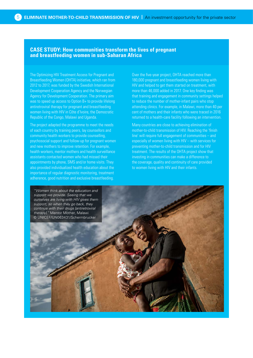## **CASE STUDY: How communities transform the lives of pregnant and breastfeeding women in sub-Saharan Africa**

The Optimizing HIV Treatment Access for Pregnant and Breastfeeding Women (OHTA) initiative, which ran from 2012 to 2017, was funded by the Swedish International Development Cooperation Agency and the Norwegian Agency for Development Cooperation. The primary aim was to speed up access to Option B+ to provide lifelong antiretroviral therapy for pregnant and breastfeeding women living with HIV in Côte d'Ivoire, the Democratic Republic of the Congo, Malawi and Uganda.

The project adapted the programme to meet the needs of each country by training peers, lay counsellors and community health workers to provide counselling, psychosocial support and follow-up for pregnant women and new mothers to improve retention. For example, health workers, mentor mothers and health surveillance assistants contacted women who had missed their appointments by phone, SMS and/or home visits. They also provided individualized health education about the importance of regular diagnostic monitoring, treatment adherence, good nutrition and exclusive breastfeeding.

Over the five-year project, OHTA reached more than 180,000 pregnant and breastfeeding women living with HIV and helped to get them started on treatment, with more than 46,000 added in 2017. One key finding was that training and engagement in community settings helped to reduce the number of mother-infant pairs who stop attending clinics. For example, in Malawi, more than 40 per cent of mothers and their infants who were traced in 2016 returned to a health-care facility following an intervention.

Many countries are close to achieving elimination of mother-to-child transmission of HIV. Reaching the 'finish line' will require full engagement of communities – and especially of women living with HIV – with services for preventing mother-to-child transmission and for HIV treatment. The results of the OHTA project show that investing in communities can make a difference to the coverage, quality and continuity of care provided to women living with HIV and their infants.

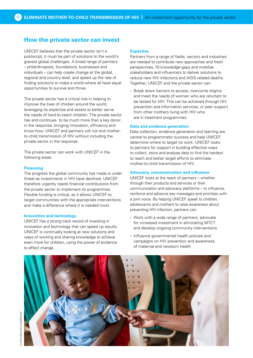# **How the private sector can invest**

UNICEF believes that the private sector isn't a postscript; it must be part of solutions to the world's gravest global challenges. A broad range of partners – philanthropists, foundations, businesses and individuals – can help create change at the global, regional and country level, and speed up the rate of finding solutions to make a world where all have equal opportunities to survive and thrive.

The private sector has a critical role in helping to improve the lives of children around the world, leveraging its expertise and assets to better serve the needs of hard-to-reach children. The private sector has and continues to be much more than a key donor in the response, bringing innovation, efficiency and know-how. UNICEF and partners will not end motherto-child transmission of HIV without including the private sector in the response.

The private sector can work with UNICEF in the following areas.

## **Financing**

The progress the global community has made is under threat as investments in HIV have declined. UNICEF therefore urgently needs financial contributions from the private sector to implement its programmes. Flexible funding is critical, as it allows UNICEF to target communities with the appropriate interventions and make a difference where it is needed most.

## **Innovation and technology**

UNICEF has a strong track record of investing in innovation and technology that can speed up results. UNICEF is continually looking at new solutions and ways of working and sharing knowledge to achieve even more for children, using the power of evidence to effect change.

## **Expertise**

Partners from a range of fields, sectors and industries are needed to contribute new approaches and fresh perspectives, fill knowledge gaps and mobilize stakeholders and influencers to deliver solutions to reduce new HIV infections and AIDS-related deaths. Together, UNICEF and the private sector can:

• Break down barriers to access, overcome stigma and meet the needs of women who are reluctant to be tested for HIV. This can be achieved through HIV prevention and information services, or peer support from other mothers living with HIV who are in treatment programmes.

#### **Data and evidence generation**

Data collection, evidence generation and learning are central to programmatic success and help UNICEF determine where to target its work. UNICEF looks to partners for support in building effective ways to collect, store and analyse data to find the hardest to reach and better target efforts to eliminate mother-to-child transmission of HIV.

#### **Advocacy, communication and influence**

UNICEF looks at the reach of partners – whether through their products and services or their communication and advocacy platforms – to influence, reinforce and advance key messages and priorities with a joint voice. By helping UNICEF speak to children, adolescents and mothers to raise awareness about preventing HIV infection, partners can:

- Work with a wide range of partners, advocate for increased investment in eliminating MTCT and develop ongoing community interventions
- Influence governmental health policies and campaigns on HIV prevention and awareness of maternal and newborn health

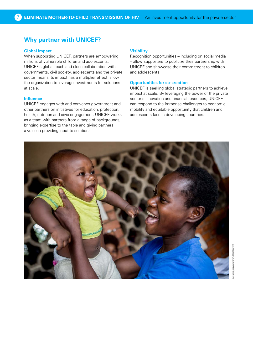# **Why partner with UNICEF?**

## **Global impact**

When supporting UNICEF, partners are empowering millions of vulnerable children and adolescents. UNICEF's global reach and close collaboration with governments, civil society, adolescents and the private sector means its impact has a multiplier effect, allow the organization to leverage investments for solutions at scale.

## **Influence**

UNICEF engages with and convenes government and other partners on initiatives for education, protection, health, nutrition and civic engagement. UNICEF works as a team with partners from a range of backgrounds, bringing expertise to the table and giving partners a voice in providing input to solutions.

#### **Visibility**

Recognition opportunities – including on social media – allow supporters to publicize their partnership with UNICEF and showcase their commitment to children and adolescents.

## **Opportunities for co-creation**

UNICEF is seeking global strategic partners to achieve impact at scale. By leveraging the power of the private sector's innovation and financial resources, UNICEF can respond to the immense challenges to economic mobility and equitable opportunity that children and adolescents face in developing countries.